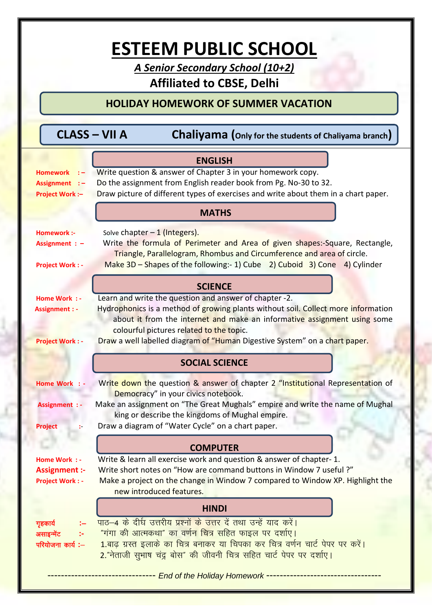# **ESTEEM PUBLIC SCHOOL**

*A Senior Secondary School (10+2)* **Affiliated to CBSE, Delhi**

# **HOLIDAY HOMEWORK OF SUMMER VACATION**

|  | <b>CLASS - VII A</b> |  | <b>Chaliyama</b> (Only for the students of Chaliyama branch) |
|--|----------------------|--|--------------------------------------------------------------|
|--|----------------------|--|--------------------------------------------------------------|

|                                                                  | <b>ENGLISH</b>                                                                                                                                                                                                                                                                                                                                    |  |  |
|------------------------------------------------------------------|---------------------------------------------------------------------------------------------------------------------------------------------------------------------------------------------------------------------------------------------------------------------------------------------------------------------------------------------------|--|--|
| Homework :-<br>Assignment :-<br><b>Project Work:-</b>            | Write question & answer of Chapter 3 in your homework copy.<br>Do the assignment from English reader book from Pg. No-30 to 32.<br>Draw picture of different types of exercises and write about them in a chart paper.                                                                                                                            |  |  |
|                                                                  | <b>MATHS</b>                                                                                                                                                                                                                                                                                                                                      |  |  |
| <b>Homework:-</b><br>Assignment : $-$<br><b>Project Work: -</b>  | Solve chapter $-1$ (Integers).<br>Write the formula of Perimeter and Area of given shapes:-Square, Rectangle,<br>Triangle, Parallelogram, Rhombus and Circumference and area of circle.<br>Make 3D – Shapes of the following:- 1) Cube 2) Cuboid 3) Cone 4) Cylinder                                                                              |  |  |
| <b>SCIENCE</b>                                                   |                                                                                                                                                                                                                                                                                                                                                   |  |  |
| Home Work : -<br><b>Assignment : -</b><br><b>Project Work: -</b> | Learn and write the question and answer of chapter -2.<br>Hydrophonics is a method of growing plants without soil. Collect more information<br>about it from the internet and make an informative assignment using some<br>colourful pictures related to the topic.<br>Draw a well labelled diagram of "Human Digestive System" on a chart paper. |  |  |
|                                                                  |                                                                                                                                                                                                                                                                                                                                                   |  |  |
|                                                                  | <b>SOCIAL SCIENCE</b>                                                                                                                                                                                                                                                                                                                             |  |  |
| Home Work : -<br><b>Assignment : -</b><br><b>Project</b>         | Write down the question & answer of chapter 2 "Institutional Representation of<br>Democracy" in your civics notebook.<br>Make an assignment on "The Great Mughals" empire and write the name of Mughal<br>king or describe the kingdoms of Mughal empire.<br>Draw a diagram of "Water Cycle" on a chart paper.                                    |  |  |
|                                                                  | <b>COMPUTER</b>                                                                                                                                                                                                                                                                                                                                   |  |  |
| Home Work : -<br><b>Assignment :-</b><br><b>Project Work: -</b>  | Write & learn all exercise work and question & answer of chapter-1.<br>Write short notes on "How are command buttons in Window 7 useful?"<br>Make a project on the change in Window 7 compared to Window XP. Highlight the<br>new introduced features.                                                                                            |  |  |
|                                                                  | <b>HINDI</b>                                                                                                                                                                                                                                                                                                                                      |  |  |
| गृहकार्य<br>असाइन्मेंट<br>परियोजना कार्य:-                       | पाठ-4 के दीर्घ उत्तरीय प्रश्नों के उत्तर दें तथा उन्हें याद करें।<br><u>"गंगा की आत्मकथा" का वर्णन चित्र सहित फाइल पर दर्शाए।</u><br>1.बाढ़ ग्रस्त इलाके का चित्र बनाकर या चिपका कर चित्र वर्णन चार्ट पेपर पर करें।<br>2."नेताजी सुभाष चंद्र बोस" की जीवनी चित्र सहित चार्ट पेपर पर दर्शाए।<br>---- End of the Holiday Homework ---------------   |  |  |